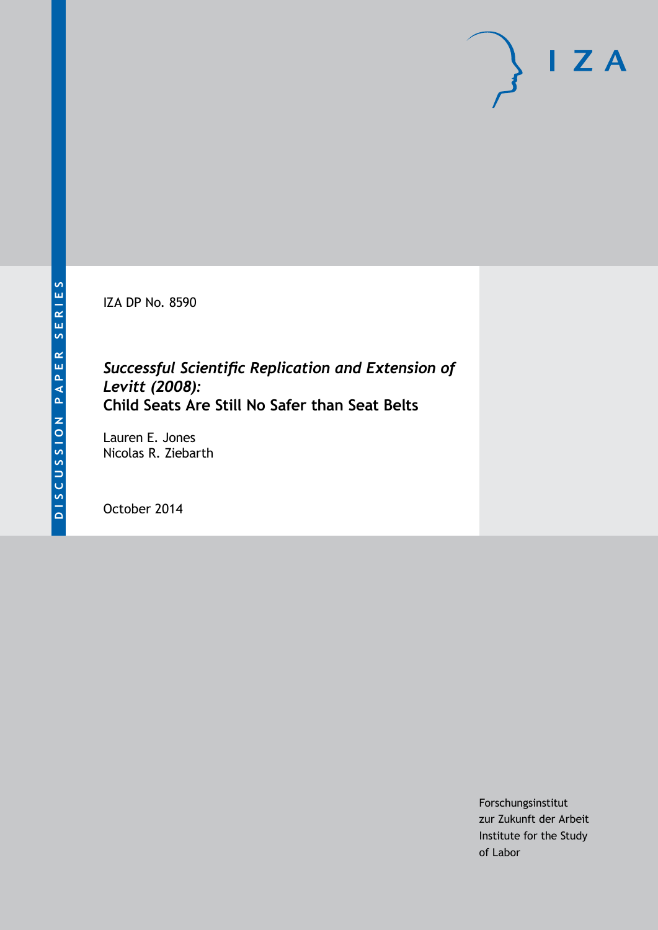IZA DP No. 8590

# *Successful Scientific Replication and Extension of Levitt (2008):* **Child Seats Are Still No Safer than Seat Belts**

Lauren E. Jones Nicolas R. Ziebarth

October 2014

Forschungsinstitut zur Zukunft der Arbeit Institute for the Study of Labor

 $I Z A$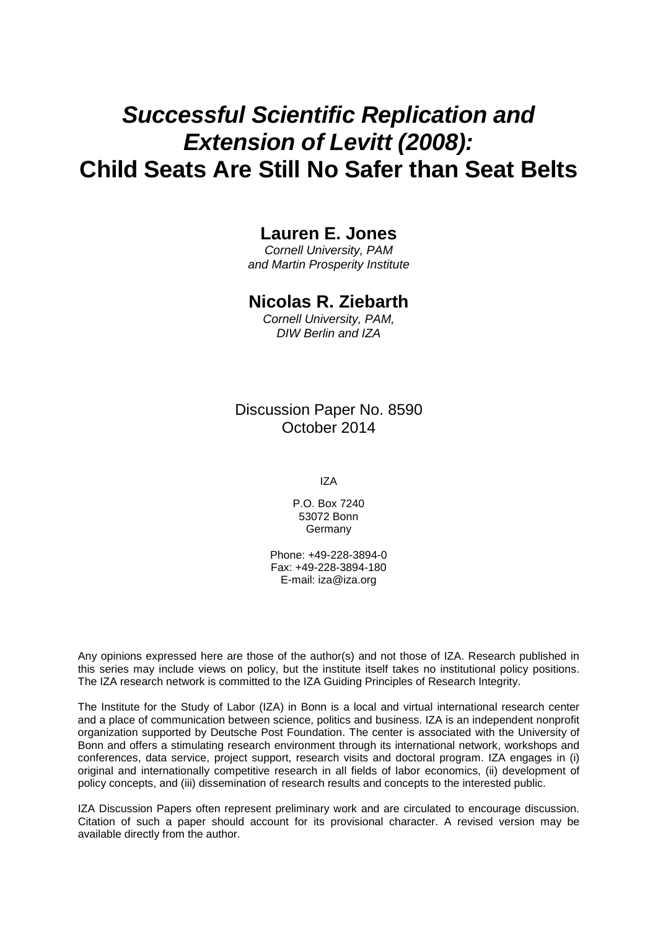# *Successful Scientific Replication and Extension of Levitt (2008):* **Child Seats Are Still No Safer than Seat Belts**

### **Lauren E. Jones**

*Cornell University, PAM and Martin Prosperity Institute*

### **Nicolas R. Ziebarth**

*Cornell University, PAM, DIW Berlin and IZA*

Discussion Paper No. 8590 October 2014

IZA

P.O. Box 7240 53072 Bonn Germany

Phone: +49-228-3894-0 Fax: +49-228-3894-180 E-mail: [iza@iza.org](mailto:iza@iza.org)

Any opinions expressed here are those of the author(s) and not those of IZA. Research published in this series may include views on policy, but the institute itself takes no institutional policy positions. The IZA research network is committed to the IZA Guiding Principles of Research Integrity.

The Institute for the Study of Labor (IZA) in Bonn is a local and virtual international research center and a place of communication between science, politics and business. IZA is an independent nonprofit organization supported by Deutsche Post Foundation. The center is associated with the University of Bonn and offers a stimulating research environment through its international network, workshops and conferences, data service, project support, research visits and doctoral program. IZA engages in (i) original and internationally competitive research in all fields of labor economics, (ii) development of policy concepts, and (iii) dissemination of research results and concepts to the interested public.

IZA Discussion Papers often represent preliminary work and are circulated to encourage discussion. Citation of such a paper should account for its provisional character. A revised version may be available directly from the author.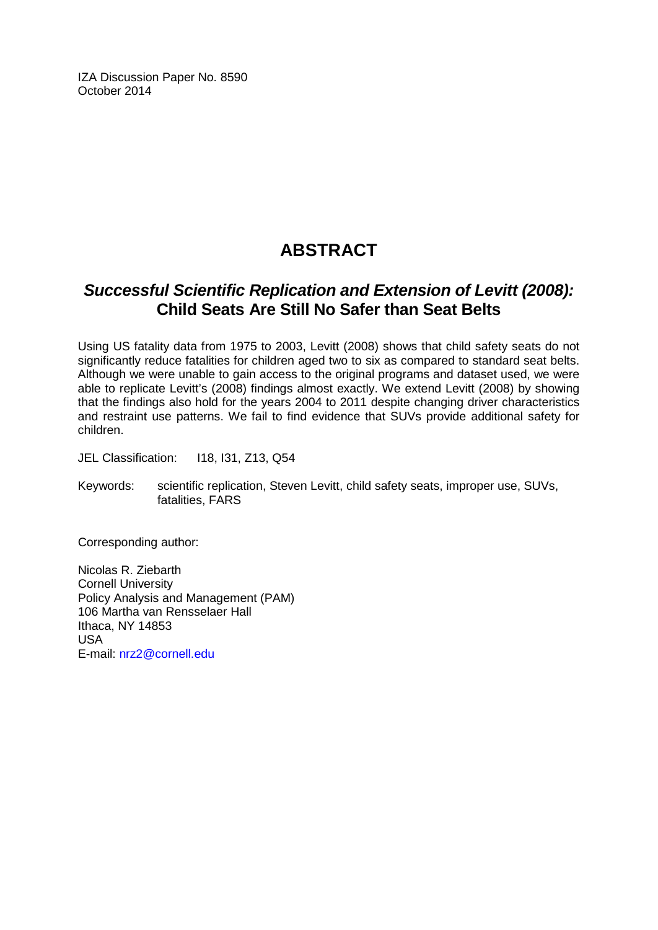IZA Discussion Paper No. 8590 October 2014

# **ABSTRACT**

# *Successful Scientific Replication and Extension of Levitt (2008):* **Child Seats Are Still No Safer than Seat Belts**

Using US fatality data from 1975 to 2003, Levitt (2008) shows that child safety seats do not significantly reduce fatalities for children aged two to six as compared to standard seat belts. Although we were unable to gain access to the original programs and dataset used, we were able to replicate Levitt's (2008) findings almost exactly. We extend Levitt (2008) by showing that the findings also hold for the years 2004 to 2011 despite changing driver characteristics and restraint use patterns. We fail to find evidence that SUVs provide additional safety for children.

JEL Classification: I18, I31, Z13, Q54

Keywords: scientific replication, Steven Levitt, child safety seats, improper use, SUVs, fatalities, FARS

Corresponding author:

Nicolas R. Ziebarth Cornell University Policy Analysis and Management (PAM) 106 Martha van Rensselaer Hall Ithaca, NY 14853 USA E-mail: [nrz2@cornell.edu](mailto:nrz2@cornell.edu)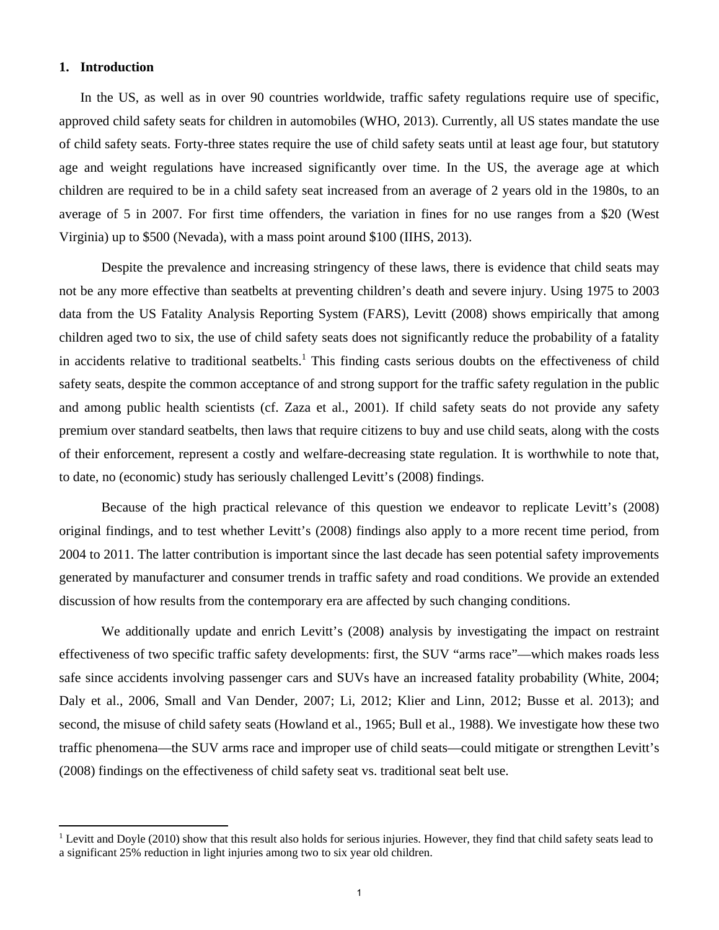#### **1. Introduction**

In the US, as well as in over 90 countries worldwide, traffic safety regulations require use of specific, approved child safety seats for children in automobiles (WHO, 2013). Currently, all US states mandate the use of child safety seats. Forty-three states require the use of child safety seats until at least age four, but statutory age and weight regulations have increased significantly over time. In the US, the average age at which children are required to be in a child safety seat increased from an average of 2 years old in the 1980s, to an average of 5 in 2007. For first time offenders, the variation in fines for no use ranges from a \$20 (West Virginia) up to \$500 (Nevada), with a mass point around \$100 (IIHS, 2013).

 Despite the prevalence and increasing stringency of these laws, there is evidence that child seats may not be any more effective than seatbelts at preventing children's death and severe injury. Using 1975 to 2003 data from the US Fatality Analysis Reporting System (FARS), Levitt (2008) shows empirically that among children aged two to six, the use of child safety seats does not significantly reduce the probability of a fatality in accidents relative to traditional seatbelts.<sup>1</sup> This finding casts serious doubts on the effectiveness of child safety seats, despite the common acceptance of and strong support for the traffic safety regulation in the public and among public health scientists (cf. Zaza et al., 2001). If child safety seats do not provide any safety premium over standard seatbelts, then laws that require citizens to buy and use child seats, along with the costs of their enforcement, represent a costly and welfare-decreasing state regulation. It is worthwhile to note that, to date, no (economic) study has seriously challenged Levitt's (2008) findings.

 Because of the high practical relevance of this question we endeavor to replicate Levitt's (2008) original findings, and to test whether Levitt's (2008) findings also apply to a more recent time period, from 2004 to 2011. The latter contribution is important since the last decade has seen potential safety improvements generated by manufacturer and consumer trends in traffic safety and road conditions. We provide an extended discussion of how results from the contemporary era are affected by such changing conditions.

We additionally update and enrich Levitt's (2008) analysis by investigating the impact on restraint effectiveness of two specific traffic safety developments: first, the SUV "arms race"—which makes roads less safe since accidents involving passenger cars and SUVs have an increased fatality probability (White, 2004; Daly et al., 2006, Small and Van Dender, 2007; Li, 2012; Klier and Linn, 2012; Busse et al. 2013); and second, the misuse of child safety seats (Howland et al., 1965; Bull et al., 1988). We investigate how these two traffic phenomena—the SUV arms race and improper use of child seats—could mitigate or strengthen Levitt's (2008) findings on the effectiveness of child safety seat vs. traditional seat belt use.

<sup>&</sup>lt;sup>1</sup> Levitt and Doyle (2010) show that this result also holds for serious injuries. However, they find that child safety seats lead to a significant 25% reduction in light injuries among two to six year old children.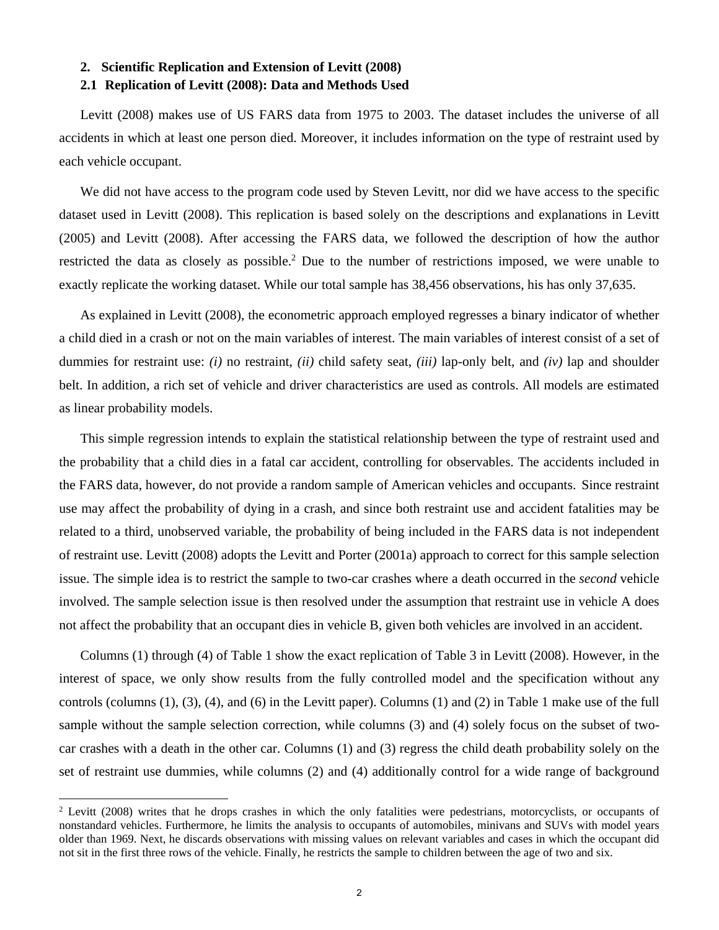# **2. Scientific Replication and Extension of Levitt (2008)**

#### **2.1 Replication of Levitt (2008): Data and Methods Used**

Levitt (2008) makes use of US FARS data from 1975 to 2003. The dataset includes the universe of all accidents in which at least one person died. Moreover, it includes information on the type of restraint used by each vehicle occupant.

We did not have access to the program code used by Steven Levitt, nor did we have access to the specific dataset used in Levitt (2008). This replication is based solely on the descriptions and explanations in Levitt (2005) and Levitt (2008). After accessing the FARS data, we followed the description of how the author restricted the data as closely as possible.<sup>2</sup> Due to the number of restrictions imposed, we were unable to exactly replicate the working dataset. While our total sample has 38,456 observations, his has only 37,635.

As explained in Levitt (2008), the econometric approach employed regresses a binary indicator of whether a child died in a crash or not on the main variables of interest. The main variables of interest consist of a set of dummies for restraint use: *(i)* no restraint, *(ii)* child safety seat, *(iii)* lap-only belt, and *(iv)* lap and shoulder belt. In addition, a rich set of vehicle and driver characteristics are used as controls. All models are estimated as linear probability models.

This simple regression intends to explain the statistical relationship between the type of restraint used and the probability that a child dies in a fatal car accident, controlling for observables. The accidents included in the FARS data, however, do not provide a random sample of American vehicles and occupants. Since restraint use may affect the probability of dying in a crash, and since both restraint use and accident fatalities may be related to a third, unobserved variable, the probability of being included in the FARS data is not independent of restraint use. Levitt (2008) adopts the Levitt and Porter (2001a) approach to correct for this sample selection issue. The simple idea is to restrict the sample to two-car crashes where a death occurred in the *second* vehicle involved. The sample selection issue is then resolved under the assumption that restraint use in vehicle A does not affect the probability that an occupant dies in vehicle B, given both vehicles are involved in an accident.

Columns (1) through (4) of Table 1 show the exact replication of Table 3 in Levitt (2008). However, in the interest of space, we only show results from the fully controlled model and the specification without any controls (columns (1), (3), (4), and (6) in the Levitt paper). Columns (1) and (2) in Table 1 make use of the full sample without the sample selection correction, while columns (3) and (4) solely focus on the subset of twocar crashes with a death in the other car. Columns (1) and (3) regress the child death probability solely on the set of restraint use dummies, while columns (2) and (4) additionally control for a wide range of background

<sup>&</sup>lt;sup>2</sup> Levitt (2008) writes that he drops crashes in which the only fatalities were pedestrians, motorcyclists, or occupants of nonstandard vehicles. Furthermore, he limits the analysis to occupants of automobiles, minivans and SUVs with model years older than 1969. Next, he discards observations with missing values on relevant variables and cases in which the occupant did not sit in the first three rows of the vehicle. Finally, he restricts the sample to children between the age of two and six.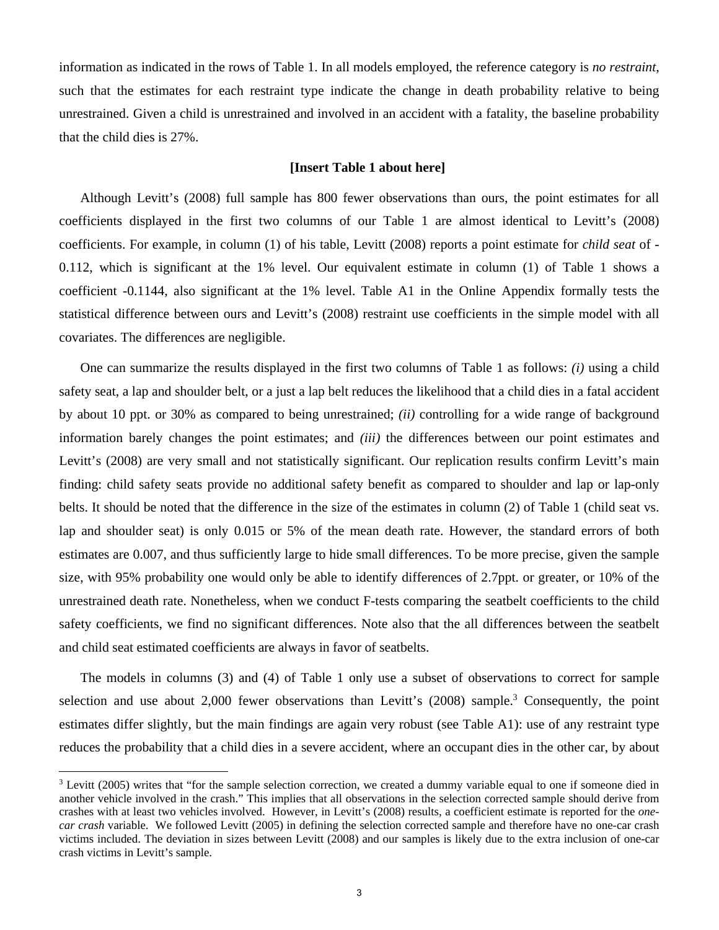information as indicated in the rows of Table 1. In all models employed, the reference category is *no restraint*, such that the estimates for each restraint type indicate the change in death probability relative to being unrestrained. Given a child is unrestrained and involved in an accident with a fatality, the baseline probability that the child dies is 27%.

#### **[Insert Table 1 about here]**

Although Levitt's (2008) full sample has 800 fewer observations than ours, the point estimates for all coefficients displayed in the first two columns of our Table 1 are almost identical to Levitt's (2008) coefficients. For example, in column (1) of his table, Levitt (2008) reports a point estimate for *child seat* of - 0.112, which is significant at the 1% level. Our equivalent estimate in column (1) of Table 1 shows a coefficient -0.1144, also significant at the 1% level. Table A1 in the Online Appendix formally tests the statistical difference between ours and Levitt's (2008) restraint use coefficients in the simple model with all covariates. The differences are negligible.

One can summarize the results displayed in the first two columns of Table 1 as follows: *(i)* using a child safety seat, a lap and shoulder belt, or a just a lap belt reduces the likelihood that a child dies in a fatal accident by about 10 ppt. or 30% as compared to being unrestrained; *(ii)* controlling for a wide range of background information barely changes the point estimates; and *(iii)* the differences between our point estimates and Levitt's (2008) are very small and not statistically significant. Our replication results confirm Levitt's main finding: child safety seats provide no additional safety benefit as compared to shoulder and lap or lap-only belts. It should be noted that the difference in the size of the estimates in column (2) of Table 1 (child seat vs. lap and shoulder seat) is only 0.015 or 5% of the mean death rate. However, the standard errors of both estimates are 0.007, and thus sufficiently large to hide small differences. To be more precise, given the sample size, with 95% probability one would only be able to identify differences of 2.7ppt. or greater, or 10% of the unrestrained death rate. Nonetheless, when we conduct F-tests comparing the seatbelt coefficients to the child safety coefficients, we find no significant differences. Note also that the all differences between the seatbelt and child seat estimated coefficients are always in favor of seatbelts.

The models in columns (3) and (4) of Table 1 only use a subset of observations to correct for sample selection and use about 2,000 fewer observations than Levitt's (2008) sample.<sup>3</sup> Consequently, the point estimates differ slightly, but the main findings are again very robust (see Table A1): use of any restraint type reduces the probability that a child dies in a severe accident, where an occupant dies in the other car, by about

<sup>&</sup>lt;sup>3</sup> Levitt (2005) writes that "for the sample selection correction, we created a dummy variable equal to one if someone died in another vehicle involved in the crash." This implies that all observations in the selection corrected sample should derive from crashes with at least two vehicles involved. However, in Levitt's (2008) results, a coefficient estimate is reported for the *onecar crash* variable. We followed Levitt (2005) in defining the selection corrected sample and therefore have no one-car crash victims included. The deviation in sizes between Levitt (2008) and our samples is likely due to the extra inclusion of one-car crash victims in Levitt's sample.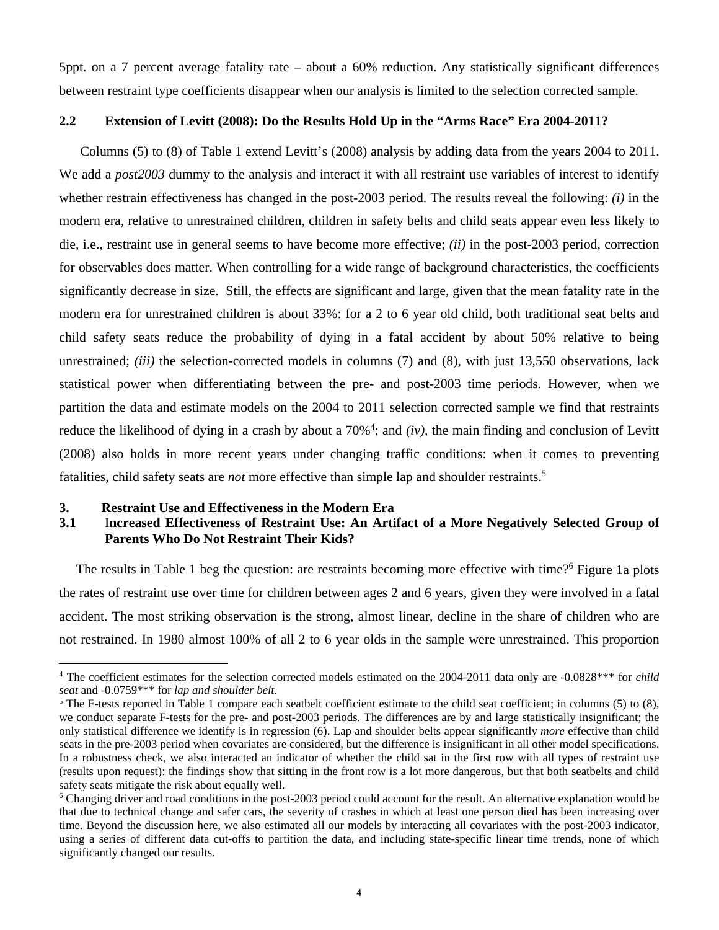5ppt. on a 7 percent average fatality rate – about a 60% reduction. Any statistically significant differences between restraint type coefficients disappear when our analysis is limited to the selection corrected sample.

#### **2.2 Extension of Levitt (2008): Do the Results Hold Up in the "Arms Race" Era 2004-2011?**

Columns (5) to (8) of Table 1 extend Levitt's (2008) analysis by adding data from the years 2004 to 2011. We add a *post2003* dummy to the analysis and interact it with all restraint use variables of interest to identify whether restrain effectiveness has changed in the post-2003 period. The results reveal the following: *(i)* in the modern era, relative to unrestrained children, children in safety belts and child seats appear even less likely to die, i.e., restraint use in general seems to have become more effective; *(ii)* in the post-2003 period, correction for observables does matter. When controlling for a wide range of background characteristics, the coefficients significantly decrease in size. Still, the effects are significant and large, given that the mean fatality rate in the modern era for unrestrained children is about 33%: for a 2 to 6 year old child, both traditional seat belts and child safety seats reduce the probability of dying in a fatal accident by about 50% relative to being unrestrained; *(iii)* the selection-corrected models in columns (7) and (8), with just 13,550 observations, lack statistical power when differentiating between the pre- and post-2003 time periods. However, when we partition the data and estimate models on the 2004 to 2011 selection corrected sample we find that restraints reduce the likelihood of dying in a crash by about a  $70\%$ <sup>4</sup>; and *(iv)*, the main finding and conclusion of Levitt (2008) also holds in more recent years under changing traffic conditions: when it comes to preventing fatalities, child safety seats are *not* more effective than simple lap and shoulder restraints.5

#### **3. Restraint Use and Effectiveness in the Modern Era**

#### **3.1** I**ncreased Effectiveness of Restraint Use: An Artifact of a More Negatively Selected Group of Parents Who Do Not Restraint Their Kids?**

The results in Table 1 beg the question: are restraints becoming more effective with time?<sup>6</sup> Figure 1a plots the rates of restraint use over time for children between ages 2 and 6 years, given they were involved in a fatal accident. The most striking observation is the strong, almost linear, decline in the share of children who are not restrained. In 1980 almost 100% of all 2 to 6 year olds in the sample were unrestrained. This proportion

<sup>&</sup>lt;sup>4</sup> The coefficient estimates for the selection corrected models estimated on the 2004-2011 data only are -0.0828\*\*\* for *child seat* and -0.0759\*\*\* for *lap and shoulder belt*. 5

<sup>&</sup>lt;sup>5</sup> The F-tests reported in Table 1 compare each seatbelt coefficient estimate to the child seat coefficient; in columns (5) to (8), we conduct separate F-tests for the pre- and post-2003 periods. The differences are by and large statistically insignificant; the only statistical difference we identify is in regression (6). Lap and shoulder belts appear significantly *more* effective than child seats in the pre-2003 period when covariates are considered, but the difference is insignificant in all other model specifications. In a robustness check, we also interacted an indicator of whether the child sat in the first row with all types of restraint use (results upon request): the findings show that sitting in the front row is a lot more dangerous, but that both seatbelts and child safety seats mitigate the risk about equally well.

<sup>&</sup>lt;sup>6</sup> Changing driver and road conditions in the post-2003 period could account for the result. An alternative explanation would be that due to technical change and safer cars, the severity of crashes in which at least one person died has been increasing over time. Beyond the discussion here, we also estimated all our models by interacting all covariates with the post-2003 indicator, using a series of different data cut-offs to partition the data, and including state-specific linear time trends, none of which significantly changed our results.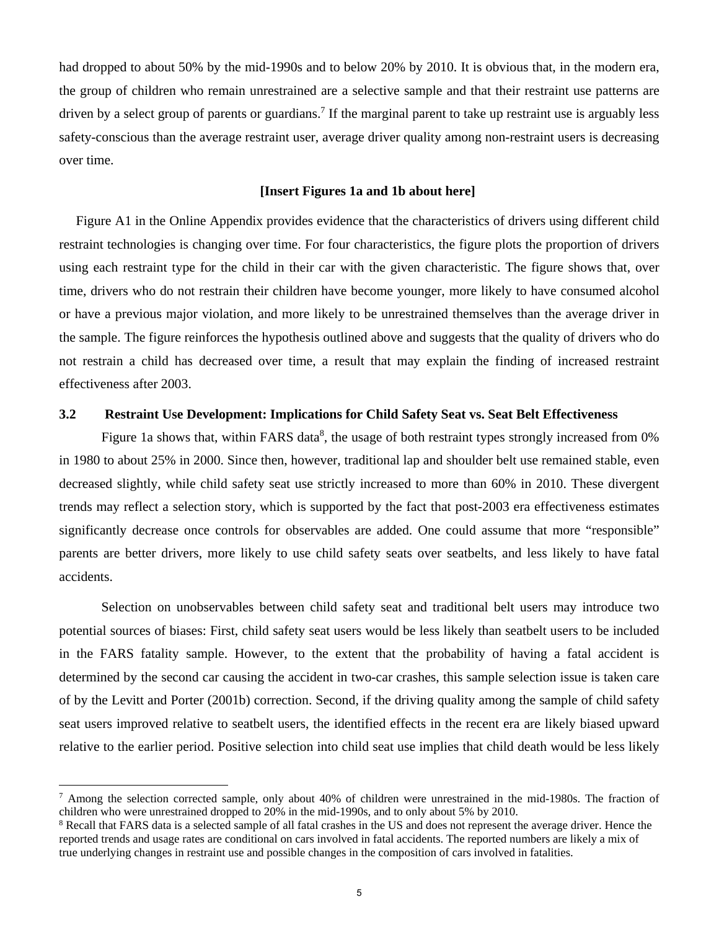had dropped to about 50% by the mid-1990s and to below 20% by 2010. It is obvious that, in the modern era, the group of children who remain unrestrained are a selective sample and that their restraint use patterns are driven by a select group of parents or guardians.<sup>7</sup> If the marginal parent to take up restraint use is arguably less safety-conscious than the average restraint user, average driver quality among non-restraint users is decreasing over time.

#### **[Insert Figures 1a and 1b about here]**

Figure A1 in the Online Appendix provides evidence that the characteristics of drivers using different child restraint technologies is changing over time. For four characteristics, the figure plots the proportion of drivers using each restraint type for the child in their car with the given characteristic. The figure shows that, over time, drivers who do not restrain their children have become younger, more likely to have consumed alcohol or have a previous major violation, and more likely to be unrestrained themselves than the average driver in the sample. The figure reinforces the hypothesis outlined above and suggests that the quality of drivers who do not restrain a child has decreased over time, a result that may explain the finding of increased restraint effectiveness after 2003.

#### **3.2 Restraint Use Development: Implications for Child Safety Seat vs. Seat Belt Effectiveness**

Figure 1a shows that, within FARS data<sup>8</sup>, the usage of both restraint types strongly increased from 0% in 1980 to about 25% in 2000. Since then, however, traditional lap and shoulder belt use remained stable, even decreased slightly, while child safety seat use strictly increased to more than 60% in 2010. These divergent trends may reflect a selection story, which is supported by the fact that post-2003 era effectiveness estimates significantly decrease once controls for observables are added. One could assume that more "responsible" parents are better drivers, more likely to use child safety seats over seatbelts, and less likely to have fatal accidents.

Selection on unobservables between child safety seat and traditional belt users may introduce two potential sources of biases: First, child safety seat users would be less likely than seatbelt users to be included in the FARS fatality sample. However, to the extent that the probability of having a fatal accident is determined by the second car causing the accident in two-car crashes, this sample selection issue is taken care of by the Levitt and Porter (2001b) correction. Second, if the driving quality among the sample of child safety seat users improved relative to seatbelt users, the identified effects in the recent era are likely biased upward relative to the earlier period. Positive selection into child seat use implies that child death would be less likely

<sup>&</sup>lt;sup>7</sup> Among the selection corrected sample, only about 40% of children were unrestrained in the mid-1980s. The fraction of children who were unrestrained dropped to 20% in the mid-1990s, and to only about 5% by 2010.

<sup>&</sup>lt;sup>8</sup> Recall that FARS data is a selected sample of all fatal crashes in the US and does not represent the average driver. Hence the reported trends and usage rates are conditional on cars involved in fatal accidents. The reported numbers are likely a mix of true underlying changes in restraint use and possible changes in the composition of cars involved in fatalities.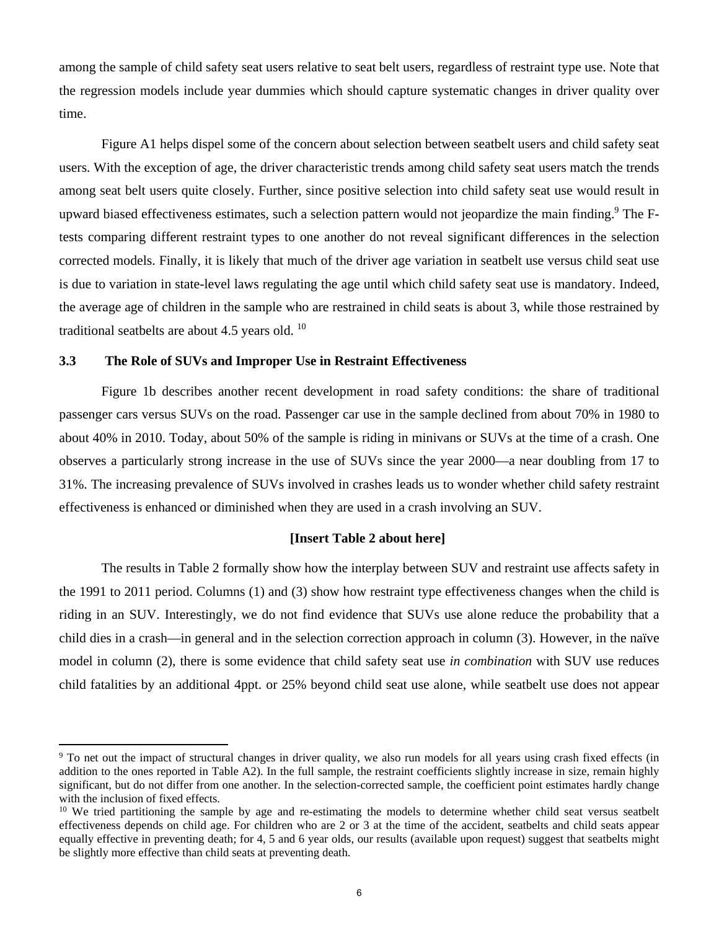among the sample of child safety seat users relative to seat belt users, regardless of restraint type use. Note that the regression models include year dummies which should capture systematic changes in driver quality over time.

Figure A1 helps dispel some of the concern about selection between seatbelt users and child safety seat users. With the exception of age, the driver characteristic trends among child safety seat users match the trends among seat belt users quite closely. Further, since positive selection into child safety seat use would result in upward biased effectiveness estimates, such a selection pattern would not jeopardize the main finding.<sup>9</sup> The Ftests comparing different restraint types to one another do not reveal significant differences in the selection corrected models. Finally, it is likely that much of the driver age variation in seatbelt use versus child seat use is due to variation in state-level laws regulating the age until which child safety seat use is mandatory. Indeed, the average age of children in the sample who are restrained in child seats is about 3, while those restrained by traditional seatbelts are about 4.5 years old. 10

#### **3.3 The Role of SUVs and Improper Use in Restraint Effectiveness**

 Figure 1b describes another recent development in road safety conditions: the share of traditional passenger cars versus SUVs on the road. Passenger car use in the sample declined from about 70% in 1980 to about 40% in 2010. Today, about 50% of the sample is riding in minivans or SUVs at the time of a crash. One observes a particularly strong increase in the use of SUVs since the year 2000—a near doubling from 17 to 31%. The increasing prevalence of SUVs involved in crashes leads us to wonder whether child safety restraint effectiveness is enhanced or diminished when they are used in a crash involving an SUV.

#### **[Insert Table 2 about here]**

 The results in Table 2 formally show how the interplay between SUV and restraint use affects safety in the 1991 to 2011 period. Columns (1) and (3) show how restraint type effectiveness changes when the child is riding in an SUV. Interestingly, we do not find evidence that SUVs use alone reduce the probability that a child dies in a crash—in general and in the selection correction approach in column (3). However, in the naïve model in column (2), there is some evidence that child safety seat use *in combination* with SUV use reduces child fatalities by an additional 4ppt. or 25% beyond child seat use alone, while seatbelt use does not appear

<sup>&</sup>lt;sup>9</sup> To net out the impact of structural changes in driver quality, we also run models for all years using crash fixed effects (in addition to the ones reported in Table A2). In the full sample, the restraint coefficients slightly increase in size, remain highly significant, but do not differ from one another. In the selection-corrected sample, the coefficient point estimates hardly change with the inclusion of fixed effects.

 $10$  We tried partitioning the sample by age and re-estimating the models to determine whether child seat versus seatbelt effectiveness depends on child age. For children who are 2 or 3 at the time of the accident, seatbelts and child seats appear equally effective in preventing death; for 4, 5 and 6 year olds, our results (available upon request) suggest that seatbelts might be slightly more effective than child seats at preventing death.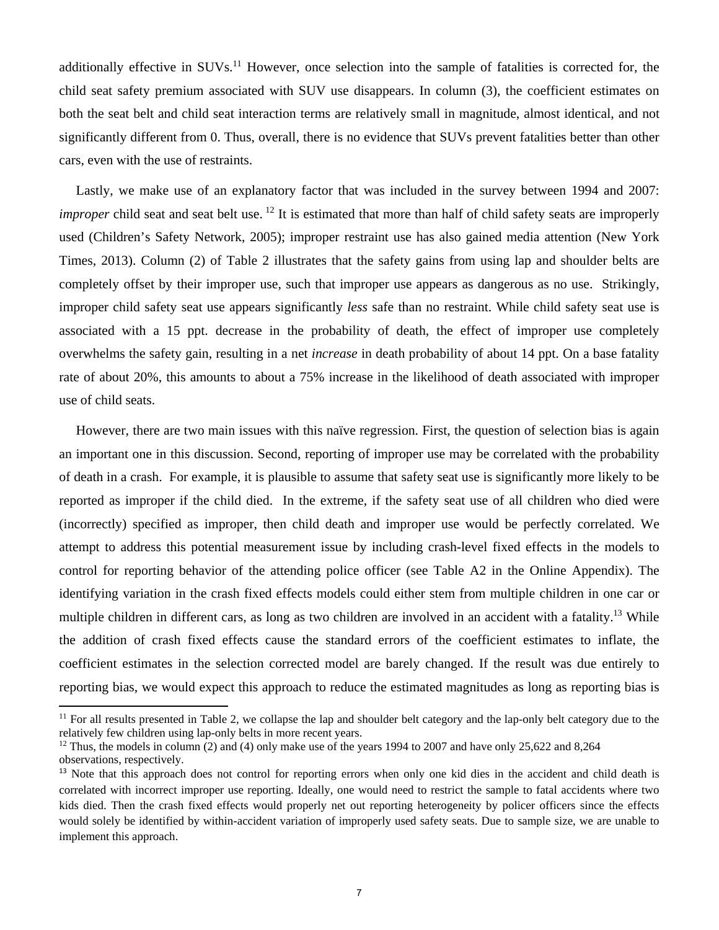additionally effective in SUVs.<sup>11</sup> However, once selection into the sample of fatalities is corrected for, the child seat safety premium associated with SUV use disappears. In column (3), the coefficient estimates on both the seat belt and child seat interaction terms are relatively small in magnitude, almost identical, and not significantly different from 0. Thus, overall, there is no evidence that SUVs prevent fatalities better than other cars, even with the use of restraints.

Lastly, we make use of an explanatory factor that was included in the survey between 1994 and 2007: *improper* child seat and seat belt use. <sup>12</sup> It is estimated that more than half of child safety seats are improperly used (Children's Safety Network, 2005); improper restraint use has also gained media attention (New York Times, 2013). Column (2) of Table 2 illustrates that the safety gains from using lap and shoulder belts are completely offset by their improper use, such that improper use appears as dangerous as no use. Strikingly, improper child safety seat use appears significantly *less* safe than no restraint. While child safety seat use is associated with a 15 ppt. decrease in the probability of death, the effect of improper use completely overwhelms the safety gain, resulting in a net *increase* in death probability of about 14 ppt. On a base fatality rate of about 20%, this amounts to about a 75% increase in the likelihood of death associated with improper use of child seats.

However, there are two main issues with this naïve regression. First, the question of selection bias is again an important one in this discussion. Second, reporting of improper use may be correlated with the probability of death in a crash. For example, it is plausible to assume that safety seat use is significantly more likely to be reported as improper if the child died. In the extreme, if the safety seat use of all children who died were (incorrectly) specified as improper, then child death and improper use would be perfectly correlated. We attempt to address this potential measurement issue by including crash-level fixed effects in the models to control for reporting behavior of the attending police officer (see Table A2 in the Online Appendix). The identifying variation in the crash fixed effects models could either stem from multiple children in one car or multiple children in different cars, as long as two children are involved in an accident with a fatality.<sup>13</sup> While the addition of crash fixed effects cause the standard errors of the coefficient estimates to inflate, the coefficient estimates in the selection corrected model are barely changed. If the result was due entirely to reporting bias, we would expect this approach to reduce the estimated magnitudes as long as reporting bias is

<sup>&</sup>lt;sup>11</sup> For all results presented in Table 2, we collapse the lap and shoulder belt category and the lap-only belt category due to the relatively few children using lap-only belts in more recent years.

<sup>&</sup>lt;sup>12</sup> Thus, the models in column (2) and (4) only make use of the years 1994 to 2007 and have only 25,622 and 8,264 observations, respectively.

<sup>&</sup>lt;sup>13</sup> Note that this approach does not control for reporting errors when only one kid dies in the accident and child death is correlated with incorrect improper use reporting. Ideally, one would need to restrict the sample to fatal accidents where two kids died. Then the crash fixed effects would properly net out reporting heterogeneity by policer officers since the effects would solely be identified by within-accident variation of improperly used safety seats. Due to sample size, we are unable to implement this approach.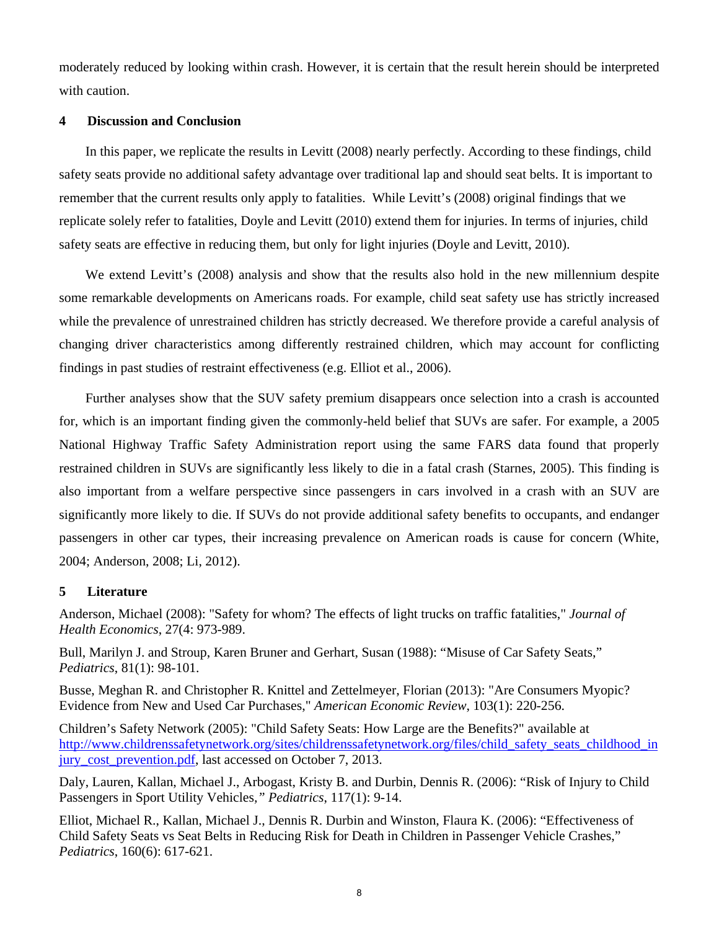moderately reduced by looking within crash. However, it is certain that the result herein should be interpreted with caution.

#### **4 Discussion and Conclusion**

In this paper, we replicate the results in Levitt (2008) nearly perfectly. According to these findings, child safety seats provide no additional safety advantage over traditional lap and should seat belts. It is important to remember that the current results only apply to fatalities. While Levitt's (2008) original findings that we replicate solely refer to fatalities, Doyle and Levitt (2010) extend them for injuries. In terms of injuries, child safety seats are effective in reducing them, but only for light injuries (Doyle and Levitt, 2010).

We extend Levitt's (2008) analysis and show that the results also hold in the new millennium despite some remarkable developments on Americans roads. For example, child seat safety use has strictly increased while the prevalence of unrestrained children has strictly decreased. We therefore provide a careful analysis of changing driver characteristics among differently restrained children, which may account for conflicting findings in past studies of restraint effectiveness (e.g. Elliot et al., 2006).

Further analyses show that the SUV safety premium disappears once selection into a crash is accounted for, which is an important finding given the commonly-held belief that SUVs are safer. For example, a 2005 National Highway Traffic Safety Administration report using the same FARS data found that properly restrained children in SUVs are significantly less likely to die in a fatal crash (Starnes, 2005). This finding is also important from a welfare perspective since passengers in cars involved in a crash with an SUV are significantly more likely to die. If SUVs do not provide additional safety benefits to occupants, and endanger passengers in other car types, their increasing prevalence on American roads is cause for concern (White, 2004; Anderson, 2008; Li, 2012).

#### **5 Literature**

Anderson, Michael (2008): "Safety for whom? The effects of light trucks on traffic fatalities," *Journal of Health Economics*, 27(4: 973-989.

Bull, Marilyn J. and Stroup, Karen Bruner and Gerhart, Susan (1988): "Misuse of Car Safety Seats," *Pediatrics*, 81(1): 98-101.

Busse, Meghan R. and Christopher R. Knittel and Zettelmeyer, Florian (2013): "Are Consumers Myopic? Evidence from New and Used Car Purchases," *American Economic Review*, 103(1): 220-256.

Children's Safety Network (2005): "Child Safety Seats: How Large are the Benefits?" available at http://www.childrenssafetynetwork.org/sites/childrenssafetynetwork.org/files/child\_safety\_seats\_childhood\_in jury cost prevention.pdf, last accessed on October 7, 2013.

Daly, Lauren, Kallan, Michael J., Arbogast, Kristy B. and Durbin, Dennis R. (2006): "Risk of Injury to Child Passengers in Sport Utility Vehicles*," Pediatrics*, 117(1): 9-14.

Elliot, Michael R., Kallan, Michael J., Dennis R. Durbin and Winston, Flaura K. (2006): "Effectiveness of Child Safety Seats vs Seat Belts in Reducing Risk for Death in Children in Passenger Vehicle Crashes," *Pediatrics*, 160(6): 617-621.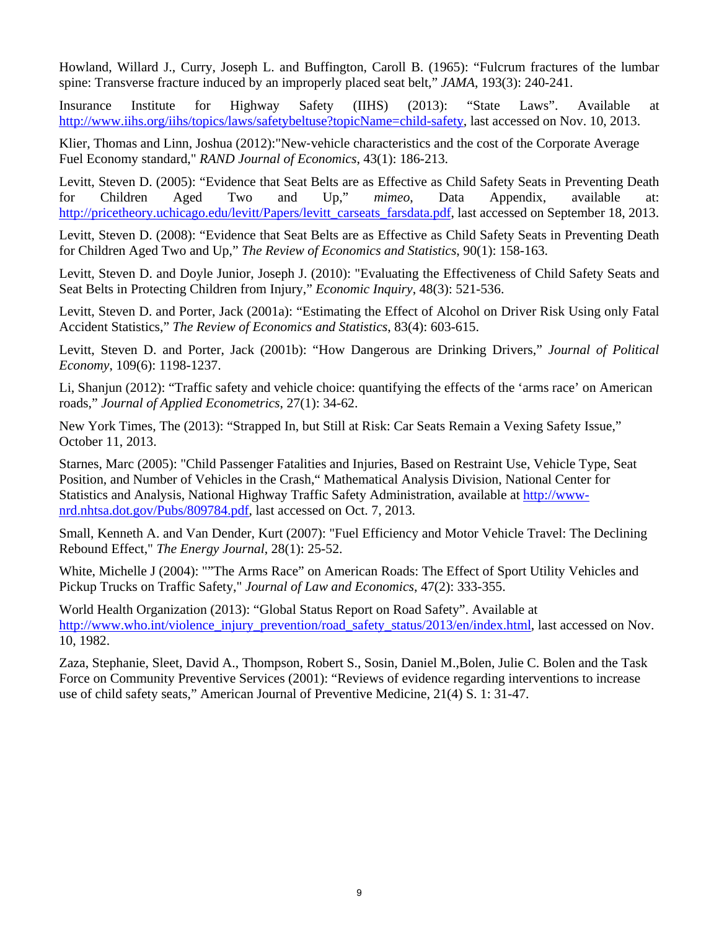Howland, Willard J., Curry, Joseph L. and Buffington, Caroll B. (1965): "Fulcrum fractures of the lumbar spine: Transverse fracture induced by an improperly placed seat belt," *JAMA*, 193(3): 240-241.

Insurance Institute for Highway Safety (IIHS) (2013): "State Laws". Available at http://www.iihs.org/iihs/topics/laws/safetybeltuse?topicName=child-safety, last accessed on Nov. 10, 2013.

Klier, Thomas and Linn, Joshua (2012): "New-vehicle characteristics and the cost of the Corporate Average Fuel Economy standard," *RAND Journal of Economics*, 43(1): 186-213.

Levitt, Steven D. (2005): "Evidence that Seat Belts are as Effective as Child Safety Seats in Preventing Death for Children Aged Two and Up," *mimeo*, Data Appendix, available at: http://pricetheory.uchicago.edu/levitt/Papers/levitt\_carseats\_farsdata.pdf, last accessed on September 18, 2013.

Levitt, Steven D. (2008): "Evidence that Seat Belts are as Effective as Child Safety Seats in Preventing Death for Children Aged Two and Up," *The Review of Economics and Statistics*, 90(1): 158-163.

Levitt, Steven D. and Doyle Junior, Joseph J. (2010): "Evaluating the Effectiveness of Child Safety Seats and Seat Belts in Protecting Children from Injury," *Economic Inquiry*, 48(3): 521-536.

Levitt, Steven D. and Porter, Jack (2001a): "Estimating the Effect of Alcohol on Driver Risk Using only Fatal Accident Statistics," *The Review of Economics and Statistics*, 83(4): 603-615.

Levitt, Steven D. and Porter, Jack (2001b): "How Dangerous are Drinking Drivers," *Journal of Political Economy*, 109(6): 1198-1237.

Li, Shanjun (2012): "Traffic safety and vehicle choice: quantifying the effects of the 'arms race' on American roads," *Journal of Applied Econometrics*, 27(1): 34-62.

New York Times, The (2013): "Strapped In, but Still at Risk: Car Seats Remain a Vexing Safety Issue," October 11, 2013.

Starnes, Marc (2005): "Child Passenger Fatalities and Injuries, Based on Restraint Use, Vehicle Type, Seat Position, and Number of Vehicles in the Crash," Mathematical Analysis Division, National Center for Statistics and Analysis, National Highway Traffic Safety Administration, available at http://wwwnrd.nhtsa.dot.gov/Pubs/809784.pdf, last accessed on Oct. 7, 2013.

Small, Kenneth A. and Van Dender, Kurt (2007): "Fuel Efficiency and Motor Vehicle Travel: The Declining Rebound Effect," *The Energy Journal*, 28(1): 25-52.

White, Michelle J (2004): ""The Arms Race" on American Roads: The Effect of Sport Utility Vehicles and Pickup Trucks on Traffic Safety," *Journal of Law and Economics*, 47(2): 333-355.

World Health Organization (2013): "Global Status Report on Road Safety". Available at http://www.who.int/violence\_injury\_prevention/road\_safety\_status/2013/en/index.html, last accessed on Nov. 10, 1982.

Zaza, Stephanie, Sleet, David A., Thompson, Robert S., Sosin, Daniel M.,Bolen, Julie C. Bolen and the Task Force on Community Preventive Services (2001): "Reviews of evidence regarding interventions to increase use of child safety seats," American Journal of Preventive Medicine, 21(4) S. 1: 31-47.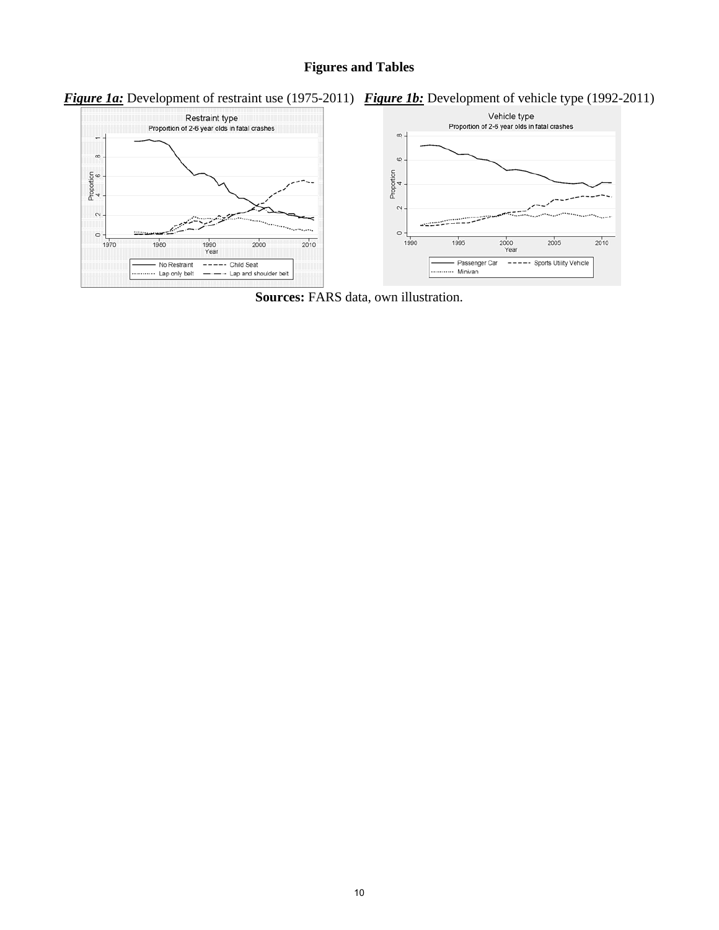### **Figures and Tables**





**Sources:** FARS data, own illustration.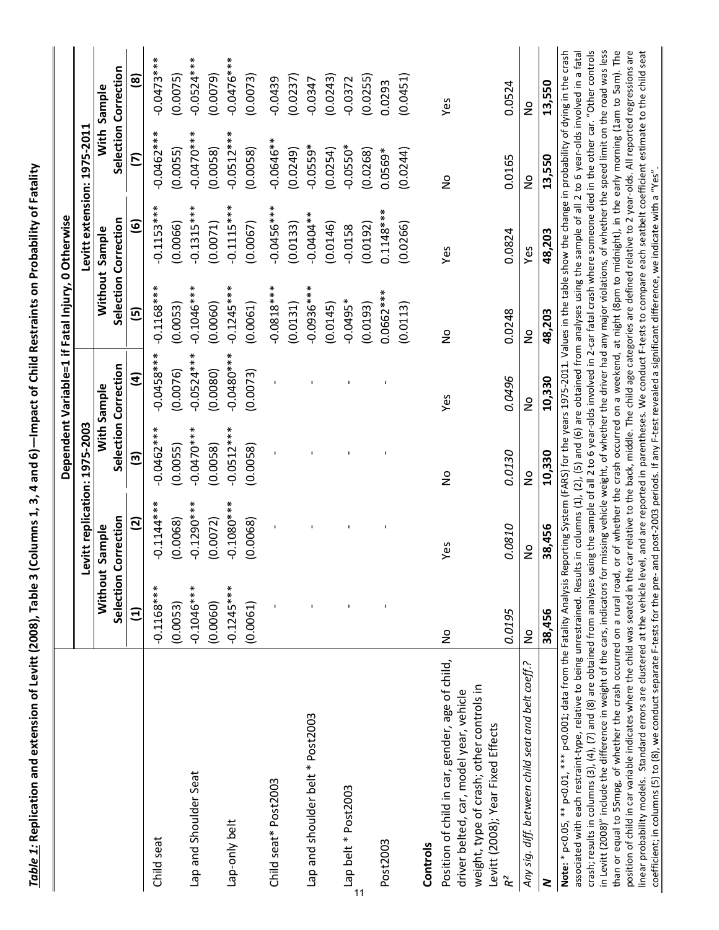Table 1: Replication and extension of Levitt (2008), Table 3 (Columns 1, 3, 4 and 6)—Impact of Child Restraints on Probability of Fatality Table 1: Replication and extension of Levitt (2008), Table 3 (Columns 1, 3, 4 and 6)—Impact of Child Restraints on Probability of Fatality

|                                                                                     |                 |                               |               |                      | Dependent Variable=1 if Fatal Injury, 0 Otherwise                                                                         |                             |                      |                      |
|-------------------------------------------------------------------------------------|-----------------|-------------------------------|---------------|----------------------|---------------------------------------------------------------------------------------------------------------------------|-----------------------------|----------------------|----------------------|
|                                                                                     |                 | Levitt replication: 1975-2003 |               |                      |                                                                                                                           | Levitt extension: 1975-2011 |                      |                      |
|                                                                                     |                 | Without Sample                |               | With Sample          |                                                                                                                           | Without Sample              |                      | With Sample          |
|                                                                                     | Selection       | Correction                    |               | Selection Correction |                                                                                                                           | Selection Correction        |                      | Selection Correction |
|                                                                                     | $\widehat{\Xi}$ | $\overline{a}$                | $\mathbf{c}$  | $\mathbf{d}$         | $\overline{5}$                                                                                                            | <u>ම</u>                    | $\tilde{\mathbf{c}}$ | <u>@</u>             |
| Child seat                                                                          | $-0.1168***$    | $-0.1144***$                  | $-0.0462***$  | $-0.0458***$         | $-0.1168***$                                                                                                              | $-0.1153***$                | $-0.0462***$         | $-0.0473***$         |
|                                                                                     | (0.0053)        | (0.0068)                      | (0.0055)      | (0.0076)             | (0.0053)                                                                                                                  | (0.0066)                    | (0.0055)             | (0.0075)             |
| Lap and Shoulder Seat                                                               | $-0.1046***$    | $-0.1290***$                  | $-0.0470**$   | $-0.0524***$         | $-0.1046***$                                                                                                              | $-0.1315***$                | $-0.0470**$          | $-0.0524***$         |
|                                                                                     | (0.0060)        | (0.0072)                      | (0.0058)      | (0.0080)             | (0.0060)                                                                                                                  | (0.0071)                    | (0.0058)             | (0.0079)             |
| Lap-only belt                                                                       | $-0.1245***$    | $-0.1080***$                  | $-0.0512***$  | $-0.0480**$          | $-0.1245***$                                                                                                              | $-0.1115***$                | $-0.0512***$         | $-0.0476***$         |
|                                                                                     | (0.0061)        | (0.0068)                      | (0.0058)      | (0.0073)             | (0.0061)                                                                                                                  | (0.0067)                    | (0.0058)             | (0.0073)             |
| Child seat* Post2003                                                                |                 |                               |               |                      | $-0.0818***$                                                                                                              | $-0.0456***$                | $-0.0646**$          | $-0.0439$            |
|                                                                                     |                 |                               |               |                      | (0.0131)                                                                                                                  | (0.0133)                    | (0.0249)             | (0.0237)             |
| Lap and shoulder belt * Post2003                                                    |                 |                               |               |                      | $-0.0936***$                                                                                                              | $-0.0404**$                 | $-0.0559*$           | $-0.0347$            |
|                                                                                     |                 |                               |               |                      | (0.0145)                                                                                                                  | (0.0146)                    | (0.0254)             | (0.0243)             |
| Lap belt * Post2003                                                                 |                 |                               |               |                      | $-0.0495*$                                                                                                                | $-0.0158$                   | $-0.0550*$           | $-0.0372$            |
|                                                                                     |                 |                               |               |                      | (0.0193)                                                                                                                  | (0.0192)                    | (0.0268)             | (0.0255)             |
| Post2003                                                                            |                 |                               |               |                      | $0.0662***$                                                                                                               | $0.1148***$                 | $0.0569*$            | 0.0293               |
|                                                                                     |                 |                               |               |                      | (0.0113)                                                                                                                  | (0.0266)                    | (0.0244)             | (0.0451)             |
| Controls                                                                            |                 |                               |               |                      |                                                                                                                           |                             |                      |                      |
| Position of child in car, gender, age of child,                                     | $\frac{1}{2}$   | Yes                           | $\frac{1}{2}$ | Yes                  | $\frac{1}{2}$                                                                                                             | Yes                         | $\frac{1}{2}$        | Yes                  |
| weight, type of crash; other controls in<br>driver belted, car, model year, vehicle |                 |                               |               |                      |                                                                                                                           |                             |                      |                      |
| Levitt (2008); Year Fixed Effects                                                   |                 |                               |               |                      |                                                                                                                           |                             |                      |                      |
| R <sup>2</sup>                                                                      | 0.0195          | 0.0810                        | 0.0130        | 0.0496               | 0.0248                                                                                                                    | 0.0824                      | 0.0165               | 0.0524               |
| Any sig. diff. between child seat and belt coeff.?                                  | $\frac{1}{2}$   | $\frac{1}{2}$                 | $\frac{1}{2}$ | $\frac{1}{2}$        | $\frac{1}{2}$                                                                                                             | Yes                         | $\frac{1}{2}$        | $\frac{1}{2}$        |
| 2                                                                                   | 38,456          | 38,456                        | 10,330        | 10,330               | 48,203                                                                                                                    | 48,203                      | 13,550               | 13,550               |
| Note: * p<0.05, ** p<0.01, *** p<0.001; data from the Fatality Analysis             |                 |                               |               |                      | Reporting System (FARS) for the years 1975-2011. Values in the table show the change in probability of dying in the crash |                             |                      |                      |

crash; results in columns (3), (4), (7) and (8) are obtained from analyses using the sample of all 2 to 6 year-olds involved in 2-car fatal crash where someone died in the other car. "Other controls in Levitt (2008)" include the difference in weight of the cars, indicators for missing vehicle weight, of whether the driver had any major violations, of whether the speed limit on the road was less than or equal to 55mpg, of whether the crash occurred on a rural road, or of whether the crash occurred on a weekend, at night (8pm to midnight), in the early morning (1am to 5am). The position of child in car variable indicates where the child was seated in the car relative to the back, middle. The child age categories are defined relative to 2 year-olds. All reported regressions are linear probability models. Standard errors are clustered at the vehicle level, and are reported in parentheses. We conduct F-tests to compare each seatbelt coefficient estimate to the child seat associated with each restraint-type, relative to being unrestrained. Results in columns (1), (2), (5) and (6) are obtained from analyses using the sample of all 2 to 6 year-olds involved in a fatal associated with each restraint‐type, relative to being unrestrained. Results in columns (2), (2), (5) and (6) are obtained from analyses using the sample of all 2 to 6 year‐olds involved in a fatal crash; results in columns (3), (4), (7) and (8) are obtained from analyses using the sample of all 2 to 6 year-olds involved in 2-car fatal crash where someone died in the other car. "Other controls in Levitt (2008)" include the difference in weight of the cars, indicators for missing vehicle weight, of whether the driver had any major violations, of whether the speed limit on the road was less than or equal to 55mpg, of whether the crash occurred on a rural road, or of whether the crash occurred on a weekend, at night (8pm to midnight), in the early morning (1am to 5am). The position of child in car variable indicates where the child was seated in the car relative to the back, middle. The child age categories are defined relative to 2 year-olds. All reported regressions are linear probability models. Standard errors are clustered at the vehicle level, and are reported in parentheses. We conduct F‐tests to compare each seatbelt coefficient estimate to the child seat coefficient; in columns (5) to (8), we conduct separate F-tests for the pre- and post-2003 periods. If any F-test revealed a significant difference, we indicate with a "Yes". coefficient; in columns (5) to (8), we conduct separate F‐tests for the pre‐ and post‐2003 periods. If any F‐test revealed a significant difference, we indicate with a "Yes".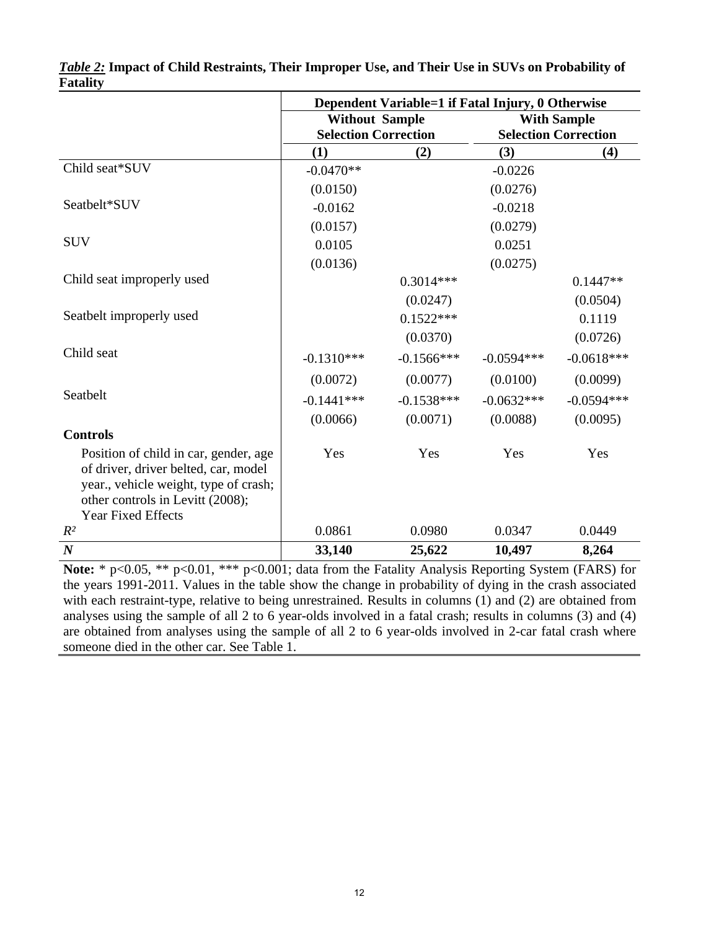|                                                                                                                                                            | Dependent Variable=1 if Fatal Injury, 0 Otherwise |               |                    |                             |  |
|------------------------------------------------------------------------------------------------------------------------------------------------------------|---------------------------------------------------|---------------|--------------------|-----------------------------|--|
|                                                                                                                                                            | <b>Without Sample</b>                             |               | <b>With Sample</b> |                             |  |
|                                                                                                                                                            | <b>Selection Correction</b>                       |               |                    | <b>Selection Correction</b> |  |
|                                                                                                                                                            | (1)                                               | (2)           | (3)                | (4)                         |  |
| Child seat*SUV                                                                                                                                             | $-0.0470**$                                       |               | $-0.0226$          |                             |  |
|                                                                                                                                                            | (0.0150)                                          |               | (0.0276)           |                             |  |
| Seatbelt*SUV                                                                                                                                               | $-0.0162$                                         |               | $-0.0218$          |                             |  |
|                                                                                                                                                            | (0.0157)                                          |               | (0.0279)           |                             |  |
| <b>SUV</b>                                                                                                                                                 | 0.0105                                            |               | 0.0251             |                             |  |
|                                                                                                                                                            | (0.0136)                                          |               | (0.0275)           |                             |  |
| Child seat improperly used                                                                                                                                 |                                                   | $0.3014***$   |                    | $0.1447**$                  |  |
|                                                                                                                                                            |                                                   | (0.0247)      |                    | (0.0504)                    |  |
| Seatbelt improperly used                                                                                                                                   |                                                   | $0.1522***$   |                    | 0.1119                      |  |
|                                                                                                                                                            |                                                   | (0.0370)      |                    | (0.0726)                    |  |
| Child seat                                                                                                                                                 | $-0.1310***$                                      | $-0.1566$ *** | $-0.0594***$       | $-0.0618***$                |  |
|                                                                                                                                                            | (0.0072)                                          | (0.0077)      | (0.0100)           | (0.0099)                    |  |
| Seatbelt                                                                                                                                                   | $-0.1441***$                                      | $-0.1538***$  | $-0.0632***$       | $-0.0594***$                |  |
|                                                                                                                                                            | (0.0066)                                          | (0.0071)      | (0.0088)           | (0.0095)                    |  |
| <b>Controls</b>                                                                                                                                            |                                                   |               |                    |                             |  |
| Position of child in car, gender, age<br>of driver, driver belted, car, model<br>year., vehicle weight, type of crash;<br>other controls in Levitt (2008); | Yes                                               | Yes           | Yes                | Yes                         |  |
| <b>Year Fixed Effects</b><br>$R^2$                                                                                                                         | 0.0861                                            | 0.0980        | 0.0347             | 0.0449                      |  |
|                                                                                                                                                            |                                                   |               |                    |                             |  |
| $\boldsymbol{N}$                                                                                                                                           | 33,140                                            | 25,622        | 10,497             | 8,264                       |  |

|                 | Table 2: Impact of Child Restraints, Their Improper Use, and Their Use in SUVs on Probability of |  |  |  |  |
|-----------------|--------------------------------------------------------------------------------------------------|--|--|--|--|
| <b>Fatality</b> |                                                                                                  |  |  |  |  |

**Note:** \* p<0.05, \*\* p<0.01, \*\*\* p<0.001; data from the Fatality Analysis Reporting System (FARS) for the years 1991-2011. Values in the table show the change in probability of dying in the crash associated with each restraint-type, relative to being unrestrained. Results in columns (1) and (2) are obtained from analyses using the sample of all 2 to 6 year-olds involved in a fatal crash; results in columns (3) and (4) are obtained from analyses using the sample of all 2 to 6 year-olds involved in 2-car fatal crash where someone died in the other car. See Table 1.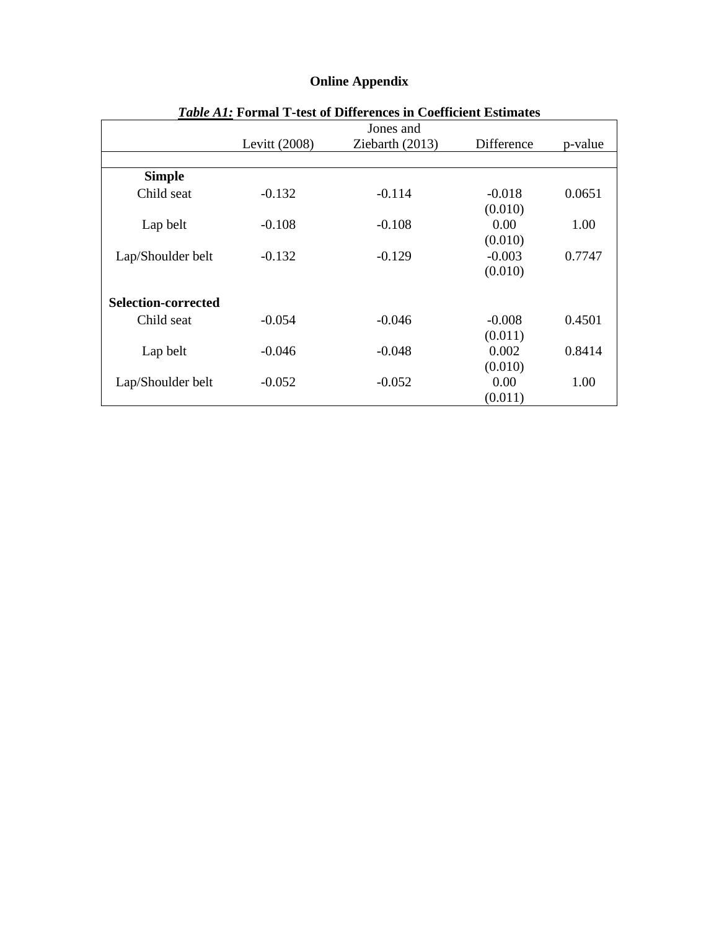| <i>Table A1:</i> Formal T-test of Differences in Coefficient Estimates |               |                 |            |         |  |  |
|------------------------------------------------------------------------|---------------|-----------------|------------|---------|--|--|
|                                                                        |               | Jones and       |            |         |  |  |
|                                                                        | Levitt (2008) | Ziebarth (2013) | Difference | p-value |  |  |
|                                                                        |               |                 |            |         |  |  |
| <b>Simple</b>                                                          |               |                 |            |         |  |  |
| Child seat                                                             | $-0.132$      | $-0.114$        | $-0.018$   | 0.0651  |  |  |
|                                                                        |               |                 | (0.010)    |         |  |  |
| Lap belt                                                               | $-0.108$      | $-0.108$        | 0.00       | 1.00    |  |  |
|                                                                        |               |                 | (0.010)    |         |  |  |
| Lap/Shoulder belt                                                      | $-0.132$      | $-0.129$        | $-0.003$   | 0.7747  |  |  |
|                                                                        |               |                 | (0.010)    |         |  |  |
| <b>Selection-corrected</b>                                             |               |                 |            |         |  |  |
| Child seat                                                             | $-0.054$      | $-0.046$        | $-0.008$   | 0.4501  |  |  |
|                                                                        |               |                 | (0.011)    |         |  |  |
| Lap belt                                                               | $-0.046$      | $-0.048$        | 0.002      | 0.8414  |  |  |
|                                                                        |               |                 | (0.010)    |         |  |  |
| Lap/Shoulder belt                                                      | $-0.052$      | $-0.052$        | 0.00       | 1.00    |  |  |
|                                                                        |               |                 | (0.011)    |         |  |  |

# **Online Appendix**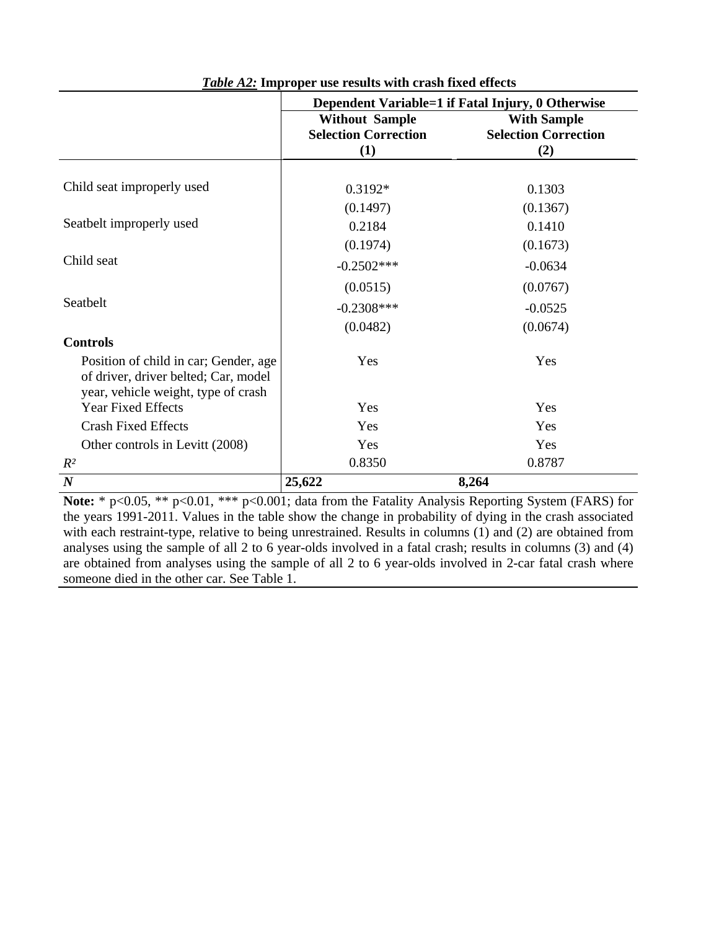|                                                                                                                      | Dependent Variable=1 if Fatal Injury, 0 Otherwise    |                                                   |  |  |
|----------------------------------------------------------------------------------------------------------------------|------------------------------------------------------|---------------------------------------------------|--|--|
|                                                                                                                      | <b>Without Sample</b><br><b>Selection Correction</b> | <b>With Sample</b><br><b>Selection Correction</b> |  |  |
|                                                                                                                      | (1)                                                  | (2)                                               |  |  |
|                                                                                                                      |                                                      |                                                   |  |  |
| Child seat improperly used                                                                                           | $0.3192*$                                            | 0.1303                                            |  |  |
|                                                                                                                      | (0.1497)                                             | (0.1367)                                          |  |  |
| Seatbelt improperly used                                                                                             | 0.2184                                               | 0.1410                                            |  |  |
|                                                                                                                      | (0.1974)                                             | (0.1673)                                          |  |  |
| Child seat                                                                                                           | $-0.2502***$                                         | $-0.0634$                                         |  |  |
|                                                                                                                      | (0.0515)                                             | (0.0767)                                          |  |  |
| Seatbelt                                                                                                             | $-0.2308***$                                         | $-0.0525$                                         |  |  |
|                                                                                                                      | (0.0482)                                             | (0.0674)                                          |  |  |
| <b>Controls</b>                                                                                                      |                                                      |                                                   |  |  |
| Position of child in car; Gender, age<br>of driver, driver belted; Car, model<br>year, vehicle weight, type of crash | Yes                                                  | Yes                                               |  |  |
| <b>Year Fixed Effects</b>                                                                                            | Yes                                                  | Yes                                               |  |  |
| <b>Crash Fixed Effects</b>                                                                                           | Yes                                                  | Yes                                               |  |  |
| Other controls in Levitt (2008)                                                                                      | Yes                                                  | Yes                                               |  |  |
| $R^2$                                                                                                                | 0.8350                                               | 0.8787                                            |  |  |
| $\boldsymbol{N}$                                                                                                     | 25,622                                               | 8,264                                             |  |  |

**Note:** \* p<0.05, \*\* p<0.01, \*\*\* p<0.001; data from the Fatality Analysis Reporting System (FARS) for the years 1991-2011. Values in the table show the change in probability of dying in the crash associated with each restraint-type, relative to being unrestrained. Results in columns (1) and (2) are obtained from analyses using the sample of all 2 to 6 year-olds involved in a fatal crash; results in columns (3) and (4) are obtained from analyses using the sample of all 2 to 6 year-olds involved in 2-car fatal crash where someone died in the other car. See Table 1.